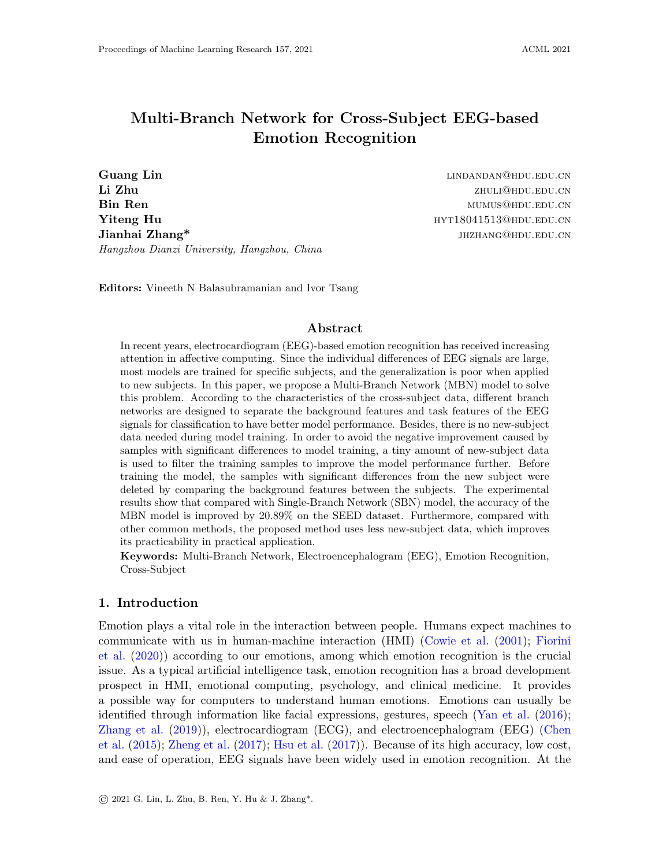# Multi-Branch Network for Cross-Subject EEG-based Emotion Recognition

Guang Lin and Communication of the Communication of the Communication of the Communication of the Communication of the Communication of the Communication of the Communication of the Communication of the Communication of th Li Zhu zhuli@hdu.edu.cn **Bin Ren** mumus@hdu.edu.com **Yiteng Hu https://www.indu.cn/2010/2010/2010/2010/2010** http://www.indu.cn/2010/2010  $\mathbf{Jianhai\; Zhang*}$  jhanhai  $\mathbf{Zhang*}$  jhanhai  $\mathbf{Zhang*}$  jhzhang@hdu.edu.cn Hangzhou Dianzi University, Hangzhou, China

Editors: Vineeth N Balasubramanian and Ivor Tsang

## Abstract

In recent years, electrocardiogram (EEG)-based emotion recognition has received increasing attention in affective computing. Since the individual differences of EEG signals are large, most models are trained for specific subjects, and the generalization is poor when applied to new subjects. In this paper, we propose a Multi-Branch Network (MBN) model to solve this problem. According to the characteristics of the cross-subject data, different branch networks are designed to separate the background features and task features of the EEG signals for classification to have better model performance. Besides, there is no new-subject data needed during model training. In order to avoid the negative improvement caused by samples with significant differences to model training, a tiny amount of new-subject data is used to filter the training samples to improve the model performance further. Before training the model, the samples with significant differences from the new subject were deleted by comparing the background features between the subjects. The experimental results show that compared with Single-Branch Network (SBN) model, the accuracy of the MBN model is improved by 20.89% on the SEED dataset. Furthermore, compared with other common methods, the proposed method uses less new-subject data, which improves its practicability in practical application.

Keywords: Multi-Branch Network, Electroencephalogram (EEG), Emotion Recognition, Cross-Subject

## <span id="page-0-0"></span>1. Introduction

Emotion plays a vital role in the interaction between people. Humans expect machines to communicate with us in human-machine interaction (HMI) [\(Cowie et al.](#page-13-0) [\(2001\)](#page-13-0); [Fiorini](#page-13-1) [et al.](#page-13-1) [\(2020\)](#page-13-1)) according to our emotions, among which emotion recognition is the crucial issue. As a typical artificial intelligence task, emotion recognition has a broad development prospect in HMI, emotional computing, psychology, and clinical medicine. It provides a possible way for computers to understand human emotions. Emotions can usually be identified through information like facial expressions, gestures, speech [\(Yan et al.](#page-15-0) [\(2016\)](#page-15-0); [Zhang et al.](#page-15-1) [\(2019\)](#page-15-1)), electrocardiogram (ECG), and electroencephalogram (EEG) [\(Chen](#page-13-2) [et al.](#page-13-2) [\(2015\)](#page-13-2); [Zheng et al.](#page-15-2) [\(2017\)](#page-15-2); [Hsu et al.](#page-14-0) [\(2017\)](#page-14-0)). Because of its high accuracy, low cost, and ease of operation, EEG signals have been widely used in emotion recognition. At the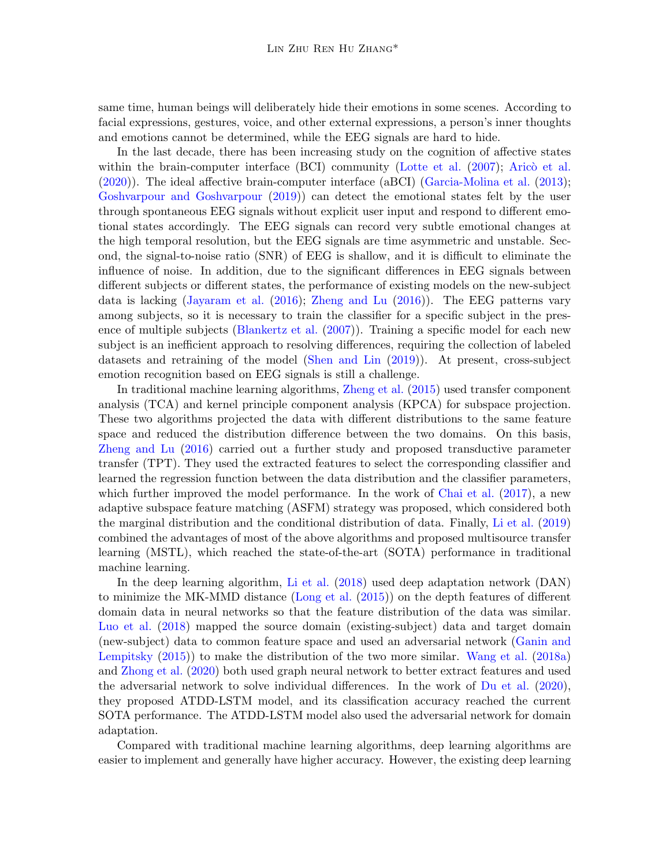same time, human beings will deliberately hide their emotions in some scenes. According to facial expressions, gestures, voice, and other external expressions, a person's inner thoughts and emotions cannot be determined, while the EEG signals are hard to hide.

In the last decade, there has been increasing study on the cognition of affective states within the brain-computer interface  $(BCI)$  community [\(Lotte et al.](#page-14-1)  $(2007)$ ; Aricò et al. [\(2020\)](#page-13-3)). The ideal affective brain-computer interface (aBCI) [\(Garcia-Molina et al.](#page-14-2) [\(2013\)](#page-14-2); [Goshvarpour and Goshvarpour](#page-14-3) [\(2019\)](#page-14-3)) can detect the emotional states felt by the user through spontaneous EEG signals without explicit user input and respond to different emotional states accordingly. The EEG signals can record very subtle emotional changes at the high temporal resolution, but the EEG signals are time asymmetric and unstable. Second, the signal-to-noise ratio (SNR) of EEG is shallow, and it is difficult to eliminate the influence of noise. In addition, due to the significant differences in EEG signals between different subjects or different states, the performance of existing models on the new-subject data is lacking [\(Jayaram et al.](#page-14-4) [\(2016\)](#page-14-4); [Zheng and Lu](#page-15-3) [\(2016\)](#page-15-3)). The EEG patterns vary among subjects, so it is necessary to train the classifier for a specific subject in the presence of multiple subjects [\(Blankertz et al.](#page-13-4) [\(2007\)](#page-13-4)). Training a specific model for each new subject is an inefficient approach to resolving differences, requiring the collection of labeled datasets and retraining of the model [\(Shen and Lin](#page-14-5) [\(2019\)](#page-14-5)). At present, cross-subject emotion recognition based on EEG signals is still a challenge.

In traditional machine learning algorithms, [Zheng et al.](#page-15-4) [\(2015\)](#page-15-4) used transfer component analysis (TCA) and kernel principle component analysis (KPCA) for subspace projection. These two algorithms projected the data with different distributions to the same feature space and reduced the distribution difference between the two domains. On this basis, [Zheng and Lu](#page-15-3) [\(2016\)](#page-15-3) carried out a further study and proposed transductive parameter transfer (TPT). They used the extracted features to select the corresponding classifier and learned the regression function between the data distribution and the classifier parameters, which further improved the model performance. In the work of [Chai et al.](#page-13-5) [\(2017\)](#page-13-5), a new adaptive subspace feature matching (ASFM) strategy was proposed, which considered both the marginal distribution and the conditional distribution of data. Finally, [Li et al.](#page-14-6) [\(2019\)](#page-14-6) combined the advantages of most of the above algorithms and proposed multisource transfer learning (MSTL), which reached the state-of-the-art (SOTA) performance in traditional machine learning.

In the deep learning algorithm, [Li et al.](#page-14-7) [\(2018\)](#page-14-7) used deep adaptation network (DAN) to minimize the MK-MMD distance [\(Long et al.](#page-14-8) [\(2015\)](#page-14-8)) on the depth features of different domain data in neural networks so that the feature distribution of the data was similar. [Luo et al.](#page-14-9) [\(2018\)](#page-14-9) mapped the source domain (existing-subject) data and target domain (new-subject) data to common feature space and used an adversarial network [\(Ganin and](#page-13-6) [Lempitsky](#page-13-6) [\(2015\)](#page-13-6)) to make the distribution of the two more similar. [Wang et al.](#page-15-5) [\(2018a\)](#page-15-5) and [Zhong et al.](#page-15-6) [\(2020\)](#page-15-6) both used graph neural network to better extract features and used the adversarial network to solve individual differences. In the work of [Du et al.](#page-13-7) [\(2020\)](#page-13-7), they proposed ATDD-LSTM model, and its classification accuracy reached the current SOTA performance. The ATDD-LSTM model also used the adversarial network for domain adaptation.

Compared with traditional machine learning algorithms, deep learning algorithms are easier to implement and generally have higher accuracy. However, the existing deep learning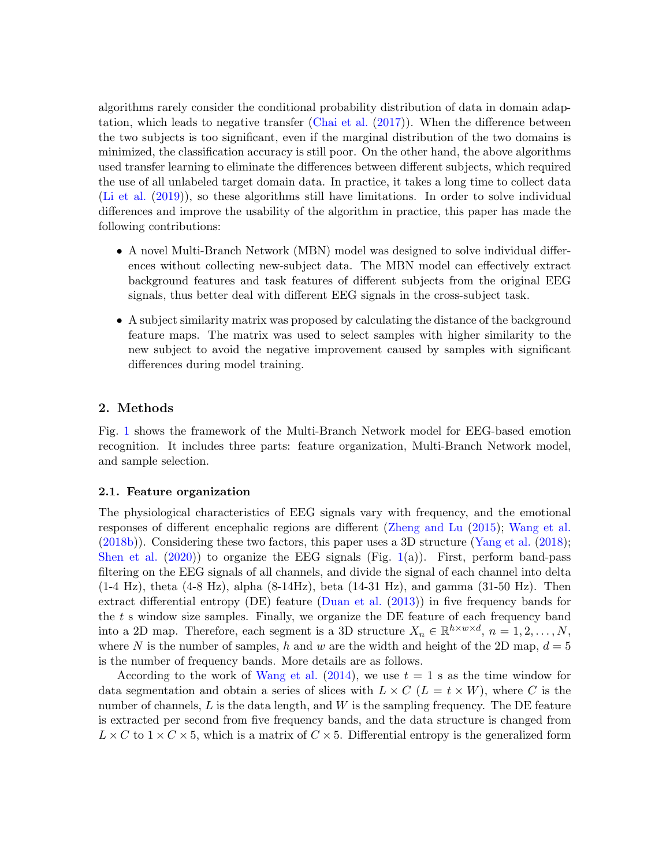algorithms rarely consider the conditional probability distribution of data in domain adaptation, which leads to negative transfer [\(Chai et al.](#page-13-5) [\(2017\)](#page-13-5)). When the difference between the two subjects is too significant, even if the marginal distribution of the two domains is minimized, the classification accuracy is still poor. On the other hand, the above algorithms used transfer learning to eliminate the differences between different subjects, which required the use of all unlabeled target domain data. In practice, it takes a long time to collect data [\(Li et al.](#page-14-6) [\(2019\)](#page-14-6)), so these algorithms still have limitations. In order to solve individual differences and improve the usability of the algorithm in practice, this paper has made the following contributions:

- A novel Multi-Branch Network (MBN) model was designed to solve individual differences without collecting new-subject data. The MBN model can effectively extract background features and task features of different subjects from the original EEG signals, thus better deal with different EEG signals in the cross-subject task.
- A subject similarity matrix was proposed by calculating the distance of the background feature maps. The matrix was used to select samples with higher similarity to the new subject to avoid the negative improvement caused by samples with significant differences during model training.

## 2. Methods

Fig. [1](#page-3-0) shows the framework of the Multi-Branch Network model for EEG-based emotion recognition. It includes three parts: feature organization, Multi-Branch Network model, and sample selection.

#### 2.1. Feature organization

The physiological characteristics of EEG signals vary with frequency, and the emotional responses of different encephalic regions are different [\(Zheng and Lu](#page-15-7) [\(2015\)](#page-15-7); [Wang et al.](#page-15-8) [\(2018b\)](#page-15-8)). Considering these two factors, this paper uses a 3D structure [\(Yang et al.](#page-15-9) [\(2018\)](#page-15-9); [Shen et al.](#page-14-10)  $(2020)$  to organize the EEG signals (Fig. [1\(](#page-3-0)a)). First, perform band-pass filtering on the EEG signals of all channels, and divide the signal of each channel into delta  $(1-4 \text{ Hz})$ , theta  $(4-8 \text{ Hz})$ , alpha  $(8-14\text{ Hz})$ , beta  $(14-31 \text{ Hz})$ , and gamma  $(31-50 \text{ Hz})$ . Then extract differential entropy (DE) feature [\(Duan et al.](#page-13-8) [\(2013\)](#page-13-8)) in five frequency bands for the  $t$  s window size samples. Finally, we organize the DE feature of each frequency band into a 2D map. Therefore, each segment is a 3D structure  $X_n \in \mathbb{R}^{h \times w \times d}$ ,  $n = 1, 2, ..., N$ , where N is the number of samples, h and w are the width and height of the 2D map,  $d = 5$ is the number of frequency bands. More details are as follows.

According to the work of [Wang et al.](#page-15-10)  $(2014)$ , we use  $t = 1$  s as the time window for data segmentation and obtain a series of slices with  $L \times C$  ( $L = t \times W$ ), where C is the number of channels,  $L$  is the data length, and  $W$  is the sampling frequency. The DE feature is extracted per second from five frequency bands, and the data structure is changed from  $L \times C$  to  $1 \times C \times 5$ , which is a matrix of  $C \times 5$ . Differential entropy is the generalized form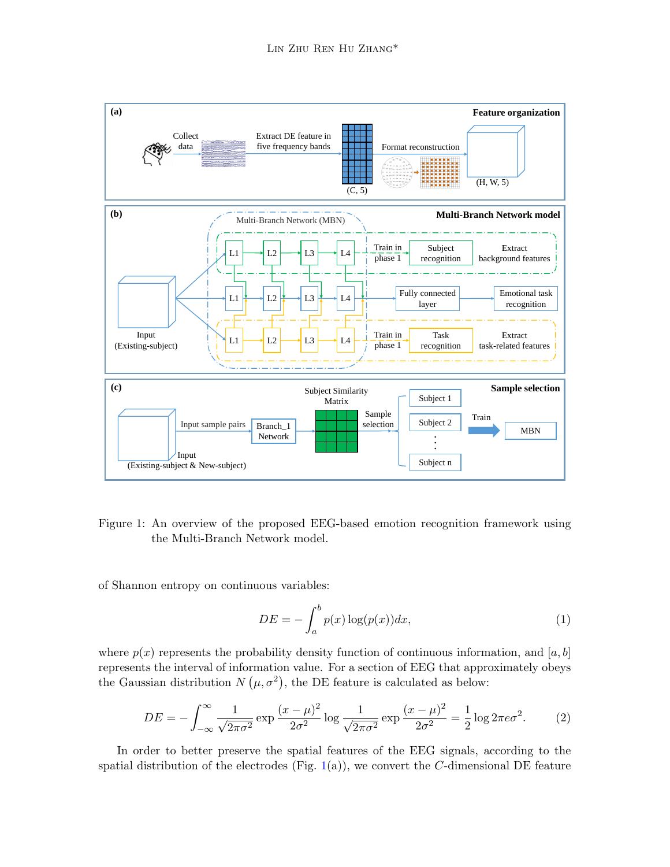

<span id="page-3-0"></span>Figure 1: An overview of the proposed EEG-based emotion recognition framework using the Multi-Branch Network model.

of Shannon entropy on continuous variables:

$$
DE = -\int_{a}^{b} p(x) \log(p(x)) dx,
$$
\n(1)

where  $p(x)$  represents the probability density function of continuous information, and [a, b] represents the interval of information value. For a section of EEG that approximately obeys the Gaussian distribution  $N(\mu, \sigma^2)$ , the DE feature is calculated as below:

$$
DE = -\int_{-\infty}^{\infty} \frac{1}{\sqrt{2\pi\sigma^2}} \exp\frac{(x-\mu)^2}{2\sigma^2} \log\frac{1}{\sqrt{2\pi\sigma^2}} \exp\frac{(x-\mu)^2}{2\sigma^2} = \frac{1}{2} \log 2\pi e \sigma^2.
$$
 (2)

In order to better preserve the spatial features of the EEG signals, according to the spatial distribution of the electrodes (Fig. [1\(](#page-3-0)a)), we convert the  $C$ -dimensional DE feature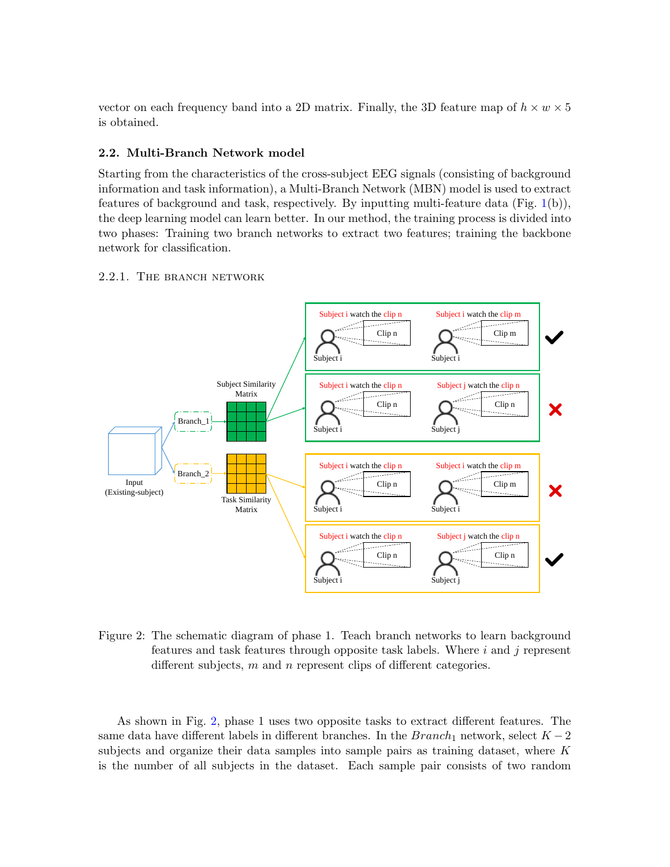vector on each frequency band into a 2D matrix. Finally, the 3D feature map of  $h \times w \times 5$ is obtained.

## 2.2. Multi-Branch Network model

Starting from the characteristics of the cross-subject EEG signals (consisting of background information and task information), a Multi-Branch Network (MBN) model is used to extract features of background and task, respectively. By inputting multi-feature data (Fig. [1\(](#page-3-0)b)), the deep learning model can learn better. In our method, the training process is divided into two phases: Training two branch networks to extract two features; training the backbone network for classification.

## 2.2.1. The branch network



<span id="page-4-0"></span>Figure 2: The schematic diagram of phase 1. Teach branch networks to learn background features and task features through opposite task labels. Where  $i$  and  $j$  represent different subjects,  $m$  and  $n$  represent clips of different categories.

As shown in Fig. [2,](#page-4-0) phase 1 uses two opposite tasks to extract different features. The same data have different labels in different branches. In the  $Branch_1$  network, select  $K - 2$ subjects and organize their data samples into sample pairs as training dataset, where  $K$ is the number of all subjects in the dataset. Each sample pair consists of two random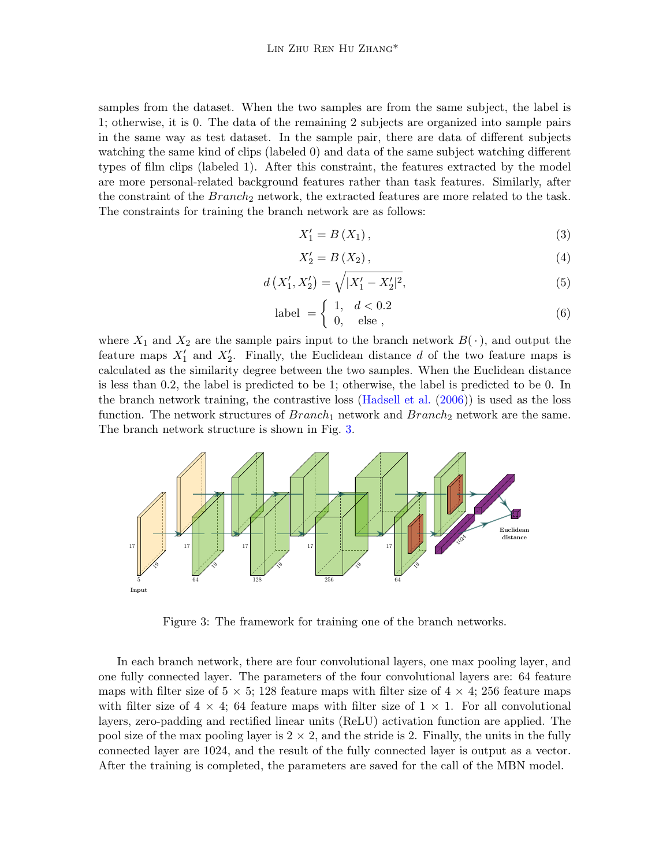samples from the dataset. When the two samples are from the same subject, the label is 1; otherwise, it is 0. The data of the remaining 2 subjects are organized into sample pairs in the same way as test dataset. In the sample pair, there are data of different subjects watching the same kind of clips (labeled 0) and data of the same subject watching different types of film clips (labeled 1). After this constraint, the features extracted by the model are more personal-related background features rather than task features. Similarly, after the constraint of the  $Branch_2$  network, the extracted features are more related to the task. The constraints for training the branch network are as follows:

$$
X_1' = B(X_1),\tag{3}
$$

$$
X_2' = B(X_2),\tag{4}
$$

$$
d\left(X'_1, X'_2\right) = \sqrt{|X'_1 - X'_2|^2},\tag{5}
$$

$$
label = \begin{cases} 1, & d < 0.2 \\ 0, & else \end{cases} \tag{6}
$$

where  $X_1$  and  $X_2$  are the sample pairs input to the branch network  $B(\cdot)$ , and output the feature maps  $X'_1$  and  $X'_2$ . Finally, the Euclidean distance d of the two feature maps is calculated as the similarity degree between the two samples. When the Euclidean distance is less than 0.2, the label is predicted to be 1; otherwise, the label is predicted to be 0. In the branch network training, the contrastive loss [\(Hadsell et al.](#page-14-11) [\(2006\)](#page-14-11)) is used as the loss function. The network structures of  $Branch_1$  network and  $Branch_2$  network are the same. The branch network structure is shown in Fig. [3.](#page-5-0)



<span id="page-5-0"></span>Figure 3: The framework for training one of the branch networks.

In each branch network, there are four convolutional layers, one max pooling layer, and one fully connected layer. The parameters of the four convolutional layers are: 64 feature maps with filter size of  $5 \times 5$ ; 128 feature maps with filter size of  $4 \times 4$ ; 256 feature maps with filter size of  $4 \times 4$ ; 64 feature maps with filter size of  $1 \times 1$ . For all convolutional layers, zero-padding and rectified linear units (ReLU) activation function are applied. The pool size of the max pooling layer is  $2 \times 2$ , and the stride is 2. Finally, the units in the fully connected layer are 1024, and the result of the fully connected layer is output as a vector. After the training is completed, the parameters are saved for the call of the MBN model.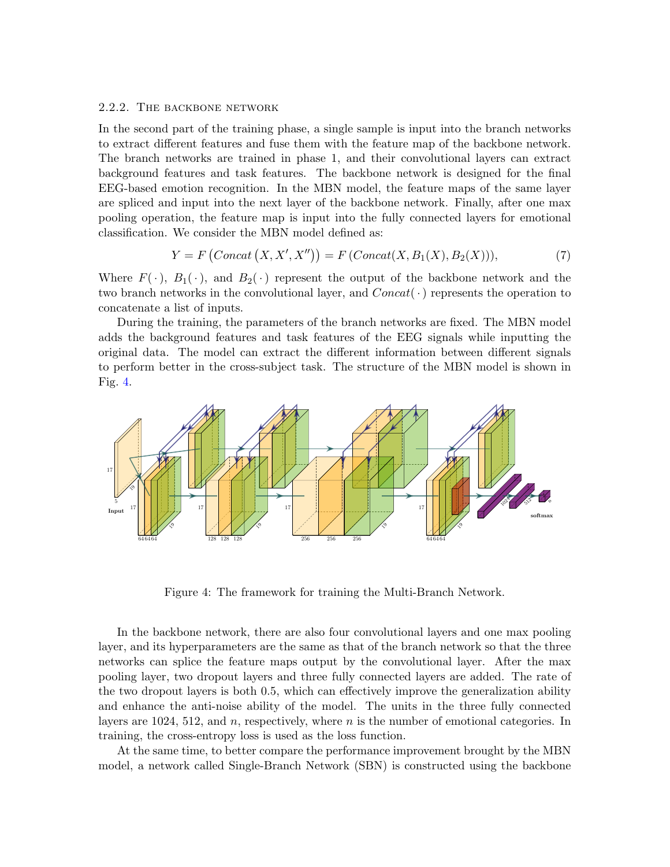## 2.2.2. The backbone network

In the second part of the training phase, a single sample is input into the branch networks to extract different features and fuse them with the feature map of the backbone network. The branch networks are trained in phase 1, and their convolutional layers can extract background features and task features. The backbone network is designed for the final EEG-based emotion recognition. In the MBN model, the feature maps of the same layer are spliced and input into the next layer of the backbone network. Finally, after one max pooling operation, the feature map is input into the fully connected layers for emotional classification. We consider the MBN model defined as:

$$
Y = F(Concat(X, X', X'')) = F(Concat(X, B_1(X), B_2(X))),
$$
\n(7)

Where  $F(\cdot)$ ,  $B_1(\cdot)$ , and  $B_2(\cdot)$  represent the output of the backbone network and the two branch networks in the convolutional layer, and  $Concat(\cdot)$  represents the operation to concatenate a list of inputs.

During the training, the parameters of the branch networks are fixed. The MBN model adds the background features and task features of the EEG signals while inputting the original data. The model can extract the different information between different signals to perform better in the cross-subject task. The structure of the MBN model is shown in Fig. [4.](#page-6-0)



<span id="page-6-0"></span>Figure 4: The framework for training the Multi-Branch Network.

In the backbone network, there are also four convolutional layers and one max pooling layer, and its hyperparameters are the same as that of the branch network so that the three networks can splice the feature maps output by the convolutional layer. After the max pooling layer, two dropout layers and three fully connected layers are added. The rate of the two dropout layers is both 0.5, which can effectively improve the generalization ability and enhance the anti-noise ability of the model. The units in the three fully connected layers are 1024, 512, and  $n$ , respectively, where  $n$  is the number of emotional categories. In training, the cross-entropy loss is used as the loss function.

At the same time, to better compare the performance improvement brought by the MBN model, a network called Single-Branch Network (SBN) is constructed using the backbone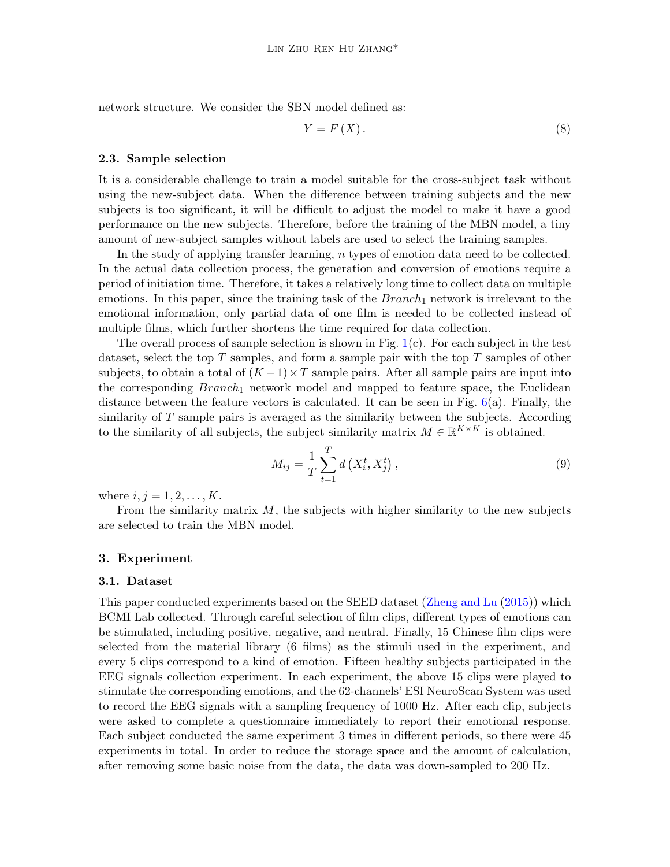network structure. We consider the SBN model defined as:

$$
Y = F(X). \tag{8}
$$

#### 2.3. Sample selection

It is a considerable challenge to train a model suitable for the cross-subject task without using the new-subject data. When the difference between training subjects and the new subjects is too significant, it will be difficult to adjust the model to make it have a good performance on the new subjects. Therefore, before the training of the MBN model, a tiny amount of new-subject samples without labels are used to select the training samples.

In the study of applying transfer learning, n types of emotion data need to be collected. In the actual data collection process, the generation and conversion of emotions require a period of initiation time. Therefore, it takes a relatively long time to collect data on multiple emotions. In this paper, since the training task of the  $Branch_1$  network is irrelevant to the emotional information, only partial data of one film is needed to be collected instead of multiple films, which further shortens the time required for data collection.

The overall process of sample selection is shown in Fig. [1\(](#page-3-0)c). For each subject in the test dataset, select the top  $T$  samples, and form a sample pair with the top  $T$  samples of other subjects, to obtain a total of  $(K-1) \times T$  sample pairs. After all sample pairs are input into the corresponding  $Branch_1$  network model and mapped to feature space, the Euclidean distance between the feature vectors is calculated. It can be seen in Fig.  $6(a)$  $6(a)$ . Finally, the similarity of  $T$  sample pairs is averaged as the similarity between the subjects. According to the similarity of all subjects, the subject similarity matrix  $M \in \mathbb{R}^{K \times K}$  is obtained.

$$
M_{ij} = \frac{1}{T} \sum_{t=1}^{T} d\left(X_i^t, X_j^t\right),\tag{9}
$$

where  $i, j = 1, 2, ..., K$ .

From the similarity matrix  $M$ , the subjects with higher similarity to the new subjects are selected to train the MBN model.

## 3. Experiment

#### 3.1. Dataset

This paper conducted experiments based on the SEED dataset [\(Zheng and Lu](#page-15-7) [\(2015\)](#page-15-7)) which BCMI Lab collected. Through careful selection of film clips, different types of emotions can be stimulated, including positive, negative, and neutral. Finally, 15 Chinese film clips were selected from the material library (6 films) as the stimuli used in the experiment, and every 5 clips correspond to a kind of emotion. Fifteen healthy subjects participated in the EEG signals collection experiment. In each experiment, the above 15 clips were played to stimulate the corresponding emotions, and the 62-channels' ESI NeuroScan System was used to record the EEG signals with a sampling frequency of 1000 Hz. After each clip, subjects were asked to complete a questionnaire immediately to report their emotional response. Each subject conducted the same experiment 3 times in different periods, so there were 45 experiments in total. In order to reduce the storage space and the amount of calculation, after removing some basic noise from the data, the data was down-sampled to 200 Hz.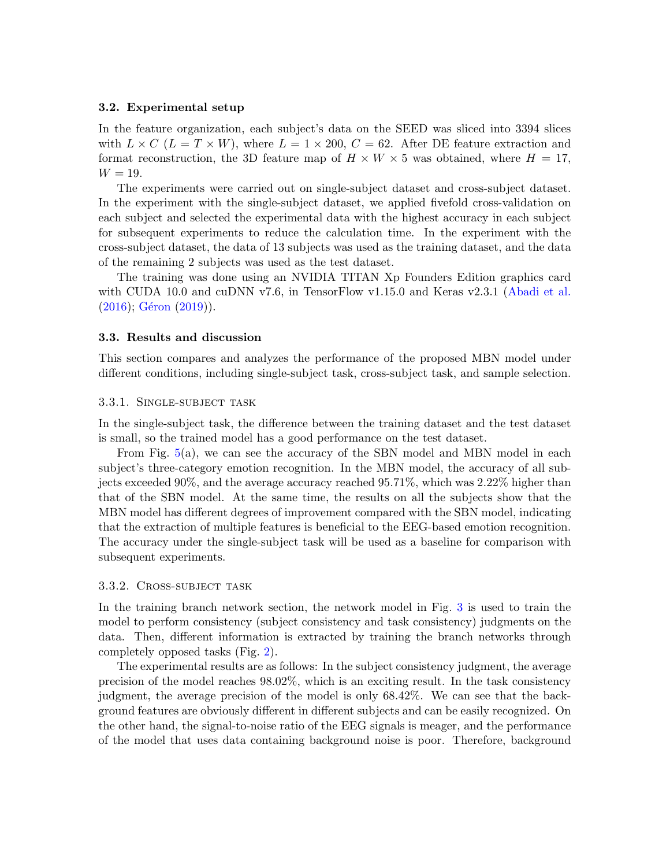#### 3.2. Experimental setup

In the feature organization, each subject's data on the SEED was sliced into 3394 slices with  $L \times C$  ( $L = T \times W$ ), where  $L = 1 \times 200$ ,  $C = 62$ . After DE feature extraction and format reconstruction, the 3D feature map of  $H \times W \times 5$  was obtained, where  $H = 17$ ,  $W = 19$ .

The experiments were carried out on single-subject dataset and cross-subject dataset. In the experiment with the single-subject dataset, we applied fivefold cross-validation on each subject and selected the experimental data with the highest accuracy in each subject for subsequent experiments to reduce the calculation time. In the experiment with the cross-subject dataset, the data of 13 subjects was used as the training dataset, and the data of the remaining 2 subjects was used as the test dataset.

The training was done using an NVIDIA TITAN Xp Founders Edition graphics card with CUDA 10.0 and cuDNN v7.6, in TensorFlow v1.15.0 and Keras v2.3.1 [\(Abadi et al.](#page-13-9)  $(2016)$ ; Géron  $(2019)$ ).

#### 3.3. Results and discussion

This section compares and analyzes the performance of the proposed MBN model under different conditions, including single-subject task, cross-subject task, and sample selection.

## 3.3.1. Single-subject task

In the single-subject task, the difference between the training dataset and the test dataset is small, so the trained model has a good performance on the test dataset.

From Fig. [5\(](#page-9-0)a), we can see the accuracy of the SBN model and MBN model in each subject's three-category emotion recognition. In the MBN model, the accuracy of all subjects exceeded 90%, and the average accuracy reached 95.71%, which was 2.22% higher than that of the SBN model. At the same time, the results on all the subjects show that the MBN model has different degrees of improvement compared with the SBN model, indicating that the extraction of multiple features is beneficial to the EEG-based emotion recognition. The accuracy under the single-subject task will be used as a baseline for comparison with subsequent experiments.

#### 3.3.2. Cross-subject task

In the training branch network section, the network model in Fig. [3](#page-5-0) is used to train the model to perform consistency (subject consistency and task consistency) judgments on the data. Then, different information is extracted by training the branch networks through completely opposed tasks (Fig. [2\)](#page-4-0).

The experimental results are as follows: In the subject consistency judgment, the average precision of the model reaches 98.02%, which is an exciting result. In the task consistency judgment, the average precision of the model is only 68.42%. We can see that the background features are obviously different in different subjects and can be easily recognized. On the other hand, the signal-to-noise ratio of the EEG signals is meager, and the performance of the model that uses data containing background noise is poor. Therefore, background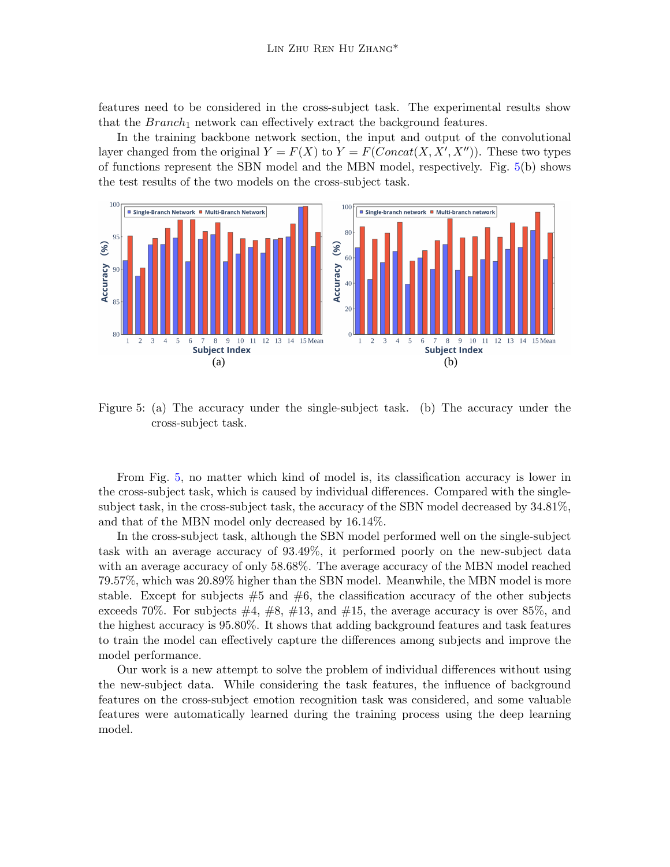features need to be considered in the cross-subject task. The experimental results show that the  $Branch_1$  network can effectively extract the background features.

In the training backbone network section, the input and output of the convolutional layer changed from the original  $Y = F(X)$  to  $Y = F(Concat(X, X', X''))$ . These two types of functions represent the SBN model and the MBN model, respectively. Fig. [5\(](#page-9-0)b) shows the test results of the two models on the cross-subject task.



<span id="page-9-0"></span>Figure 5: (a) The accuracy under the single-subject task. (b) The accuracy under the cross-subject task.

From Fig. [5,](#page-9-0) no matter which kind of model is, its classification accuracy is lower in the cross-subject task, which is caused by individual differences. Compared with the singlesubject task, in the cross-subject task, the accuracy of the SBN model decreased by 34.81%, and that of the MBN model only decreased by 16.14%.

In the cross-subject task, although the SBN model performed well on the single-subject task with an average accuracy of 93.49%, it performed poorly on the new-subject data with an average accuracy of only 58.68%. The average accuracy of the MBN model reached 79.57%, which was 20.89% higher than the SBN model. Meanwhile, the MBN model is more stable. Except for subjects  $#5$  and  $#6$ , the classification accuracy of the other subjects exceeds 70%. For subjects  $\#4, \#8, \#13, \text{ and } \#15$ , the average accuracy is over 85%, and the highest accuracy is 95.80%. It shows that adding background features and task features to train the model can effectively capture the differences among subjects and improve the model performance.

Our work is a new attempt to solve the problem of individual differences without using the new-subject data. While considering the task features, the influence of background features on the cross-subject emotion recognition task was considered, and some valuable features were automatically learned during the training process using the deep learning model.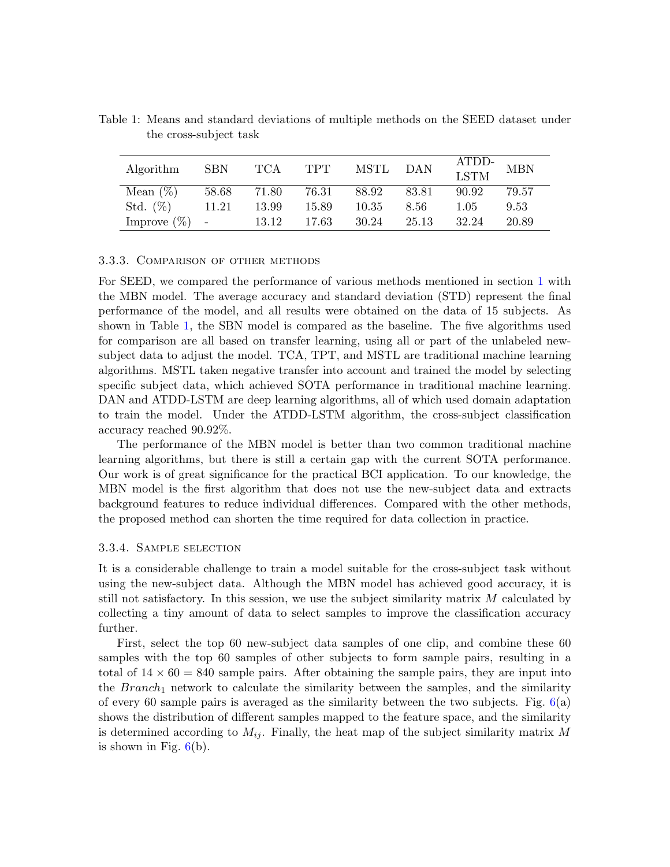| Algorithm        | <b>SBN</b> | TCA   | <b>TPT</b> | MSTL  | <b>DAN</b> | ATDD-<br>LSTM | <b>MBN</b> |
|------------------|------------|-------|------------|-------|------------|---------------|------------|
| Mean $(\%)$      | 58.68      | 71.80 | 76.31      | 88.92 | 83.81      | 90.92         | 79.57      |
| Std. $(\%)$      | 11.21      | 13.99 | 15.89      | 10.35 | 8.56       | 1.05          | 9.53       |
| Improve $(\%)$ - |            | 13.12 | 17.63      | 30.24 | 25.13      | 32.24         | 20.89      |

<span id="page-10-0"></span>Table 1: Means and standard deviations of multiple methods on the SEED dataset under the cross-subject task

## 3.3.3. Comparison of other methods

For SEED, we compared the performance of various methods mentioned in section [1](#page-0-0) with the MBN model. The average accuracy and standard deviation (STD) represent the final performance of the model, and all results were obtained on the data of 15 subjects. As shown in Table [1,](#page-10-0) the SBN model is compared as the baseline. The five algorithms used for comparison are all based on transfer learning, using all or part of the unlabeled newsubject data to adjust the model. TCA, TPT, and MSTL are traditional machine learning algorithms. MSTL taken negative transfer into account and trained the model by selecting specific subject data, which achieved SOTA performance in traditional machine learning. DAN and ATDD-LSTM are deep learning algorithms, all of which used domain adaptation to train the model. Under the ATDD-LSTM algorithm, the cross-subject classification accuracy reached 90.92%.

The performance of the MBN model is better than two common traditional machine learning algorithms, but there is still a certain gap with the current SOTA performance. Our work is of great significance for the practical BCI application. To our knowledge, the MBN model is the first algorithm that does not use the new-subject data and extracts background features to reduce individual differences. Compared with the other methods, the proposed method can shorten the time required for data collection in practice.

## 3.3.4. Sample selection

It is a considerable challenge to train a model suitable for the cross-subject task without using the new-subject data. Although the MBN model has achieved good accuracy, it is still not satisfactory. In this session, we use the subject similarity matrix  $M$  calculated by collecting a tiny amount of data to select samples to improve the classification accuracy further.

First, select the top 60 new-subject data samples of one clip, and combine these 60 samples with the top 60 samples of other subjects to form sample pairs, resulting in a total of  $14 \times 60 = 840$  sample pairs. After obtaining the sample pairs, they are input into the  $Branch_1$  network to calculate the similarity between the samples, and the similarity of every 60 sample pairs is averaged as the similarity between the two subjects. Fig.  $6(a)$  $6(a)$ shows the distribution of different samples mapped to the feature space, and the similarity is determined according to  $M_{ij}$ . Finally, the heat map of the subject similarity matrix M is shown in Fig.  $6(b)$  $6(b)$ .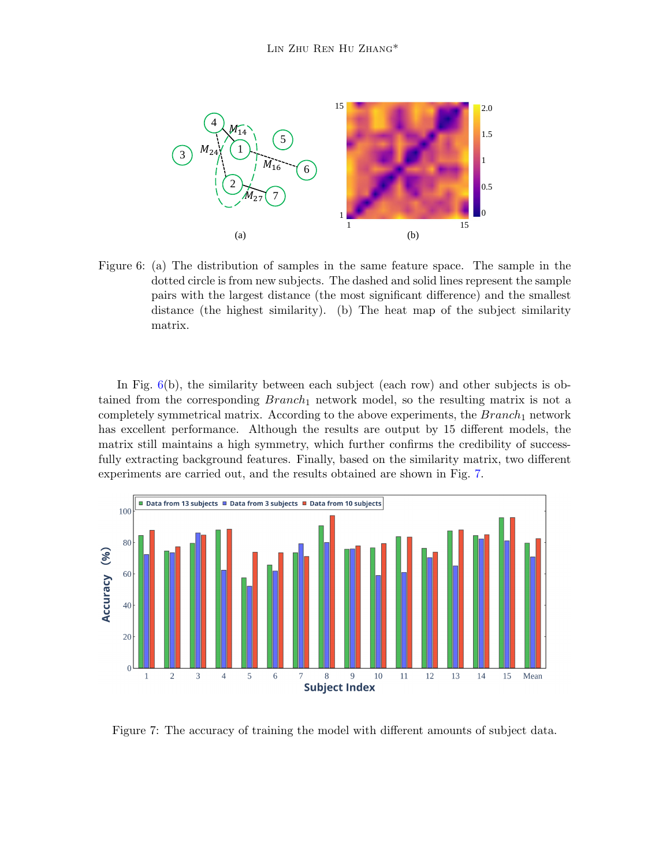<span id="page-11-0"></span>

Figure 6: (a) The distribution of samples in the same feature space. The sample in the dotted circle is from new subjects. The dashed and solid lines represent the sample pairs with the largest distance (the most significant difference) and the smallest distance (the highest similarity). (b) The heat map of the subject similarity matrix.

In Fig. [6\(](#page-11-0)b), the similarity between each subject (each row) and other subjects is obtained from the corresponding  $Branch_1$  network model, so the resulting matrix is not a completely symmetrical matrix. According to the above experiments, the  $Branch_1$  network has excellent performance. Although the results are output by 15 different models, the matrix still maintains a high symmetry, which further confirms the credibility of successfully extracting background features. Finally, based on the similarity matrix, two different experiments are carried out, and the results obtained are shown in Fig. [7.](#page-11-1)



<span id="page-11-1"></span>Figure 7: The accuracy of training the model with different amounts of subject data.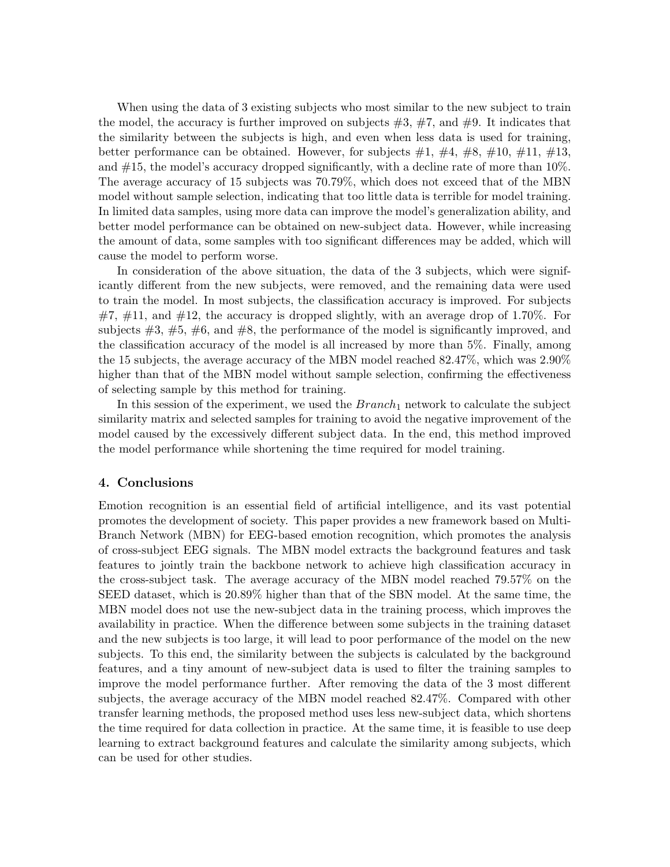When using the data of 3 existing subjects who most similar to the new subject to train the model, the accuracy is further improved on subjects  $#3, #7,$  and  $#9$ . It indicates that the similarity between the subjects is high, and even when less data is used for training, better performance can be obtained. However, for subjects  $\#1, \#4, \#8, \#10, \#11, \#13$ , and #15, the model's accuracy dropped significantly, with a decline rate of more than 10%. The average accuracy of 15 subjects was 70.79%, which does not exceed that of the MBN model without sample selection, indicating that too little data is terrible for model training. In limited data samples, using more data can improve the model's generalization ability, and better model performance can be obtained on new-subject data. However, while increasing the amount of data, some samples with too significant differences may be added, which will cause the model to perform worse.

In consideration of the above situation, the data of the 3 subjects, which were significantly different from the new subjects, were removed, and the remaining data were used to train the model. In most subjects, the classification accuracy is improved. For subjects  $\#7$ ,  $\#11$ , and  $\#12$ , the accuracy is dropped slightly, with an average drop of 1.70%. For subjects  $\#3$ ,  $\#5$ ,  $\#6$ , and  $\#8$ , the performance of the model is significantly improved, and the classification accuracy of the model is all increased by more than 5%. Finally, among the 15 subjects, the average accuracy of the MBN model reached 82.47%, which was 2.90% higher than that of the MBN model without sample selection, confirming the effectiveness of selecting sample by this method for training.

In this session of the experiment, we used the  $Branch_1$  network to calculate the subject similarity matrix and selected samples for training to avoid the negative improvement of the model caused by the excessively different subject data. In the end, this method improved the model performance while shortening the time required for model training.

## 4. Conclusions

Emotion recognition is an essential field of artificial intelligence, and its vast potential promotes the development of society. This paper provides a new framework based on Multi-Branch Network (MBN) for EEG-based emotion recognition, which promotes the analysis of cross-subject EEG signals. The MBN model extracts the background features and task features to jointly train the backbone network to achieve high classification accuracy in the cross-subject task. The average accuracy of the MBN model reached 79.57% on the SEED dataset, which is 20.89% higher than that of the SBN model. At the same time, the MBN model does not use the new-subject data in the training process, which improves the availability in practice. When the difference between some subjects in the training dataset and the new subjects is too large, it will lead to poor performance of the model on the new subjects. To this end, the similarity between the subjects is calculated by the background features, and a tiny amount of new-subject data is used to filter the training samples to improve the model performance further. After removing the data of the 3 most different subjects, the average accuracy of the MBN model reached 82.47%. Compared with other transfer learning methods, the proposed method uses less new-subject data, which shortens the time required for data collection in practice. At the same time, it is feasible to use deep learning to extract background features and calculate the similarity among subjects, which can be used for other studies.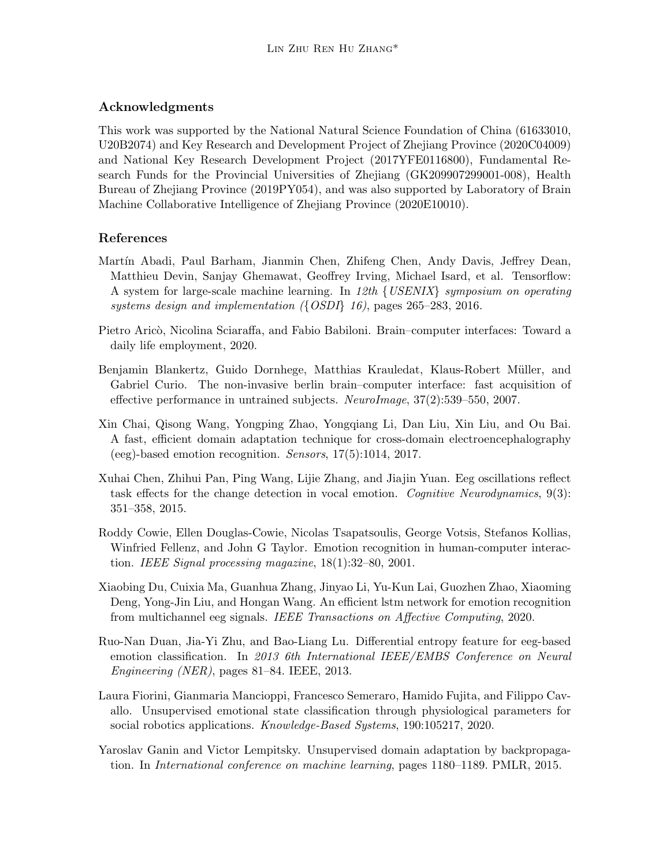## Acknowledgments

This work was supported by the National Natural Science Foundation of China (61633010, U20B2074) and Key Research and Development Project of Zhejiang Province (2020C04009) and National Key Research Development Project (2017YFE0116800), Fundamental Research Funds for the Provincial Universities of Zhejiang (GK209907299001-008), Health Bureau of Zhejiang Province (2019PY054), and was also supported by Laboratory of Brain Machine Collaborative Intelligence of Zhejiang Province (2020E10010).

## References

- <span id="page-13-9"></span>Martín Abadi, Paul Barham, Jianmin Chen, Zhifeng Chen, Andy Davis, Jeffrey Dean, Matthieu Devin, Sanjay Ghemawat, Geoffrey Irving, Michael Isard, et al. Tensorflow: A system for large-scale machine learning. In 12th  $\{ \textit{USENIX} \}$  symposium on operating systems design and implementation ({OSDI} 16), pages 265–283, 2016.
- <span id="page-13-3"></span>Pietro Aricò, Nicolina Sciaraffa, and Fabio Babiloni. Brain–computer interfaces: Toward a daily life employment, 2020.
- <span id="page-13-4"></span>Benjamin Blankertz, Guido Dornhege, Matthias Krauledat, Klaus-Robert Müller, and Gabriel Curio. The non-invasive berlin brain–computer interface: fast acquisition of effective performance in untrained subjects. NeuroImage, 37(2):539–550, 2007.
- <span id="page-13-5"></span>Xin Chai, Qisong Wang, Yongping Zhao, Yongqiang Li, Dan Liu, Xin Liu, and Ou Bai. A fast, efficient domain adaptation technique for cross-domain electroencephalography (eeg)-based emotion recognition. Sensors, 17(5):1014, 2017.
- <span id="page-13-2"></span>Xuhai Chen, Zhihui Pan, Ping Wang, Lijie Zhang, and Jiajin Yuan. Eeg oscillations reflect task effects for the change detection in vocal emotion. Cognitive Neurodynamics,  $9(3)$ : 351–358, 2015.
- <span id="page-13-0"></span>Roddy Cowie, Ellen Douglas-Cowie, Nicolas Tsapatsoulis, George Votsis, Stefanos Kollias, Winfried Fellenz, and John G Taylor. Emotion recognition in human-computer interaction. IEEE Signal processing magazine,  $18(1):32-80$ ,  $2001$ .
- <span id="page-13-7"></span>Xiaobing Du, Cuixia Ma, Guanhua Zhang, Jinyao Li, Yu-Kun Lai, Guozhen Zhao, Xiaoming Deng, Yong-Jin Liu, and Hongan Wang. An efficient lstm network for emotion recognition from multichannel eeg signals. IEEE Transactions on Affective Computing, 2020.
- <span id="page-13-8"></span>Ruo-Nan Duan, Jia-Yi Zhu, and Bao-Liang Lu. Differential entropy feature for eeg-based emotion classification. In 2013 6th International IEEE/EMBS Conference on Neural Engineering (NER), pages 81–84. IEEE, 2013.
- <span id="page-13-1"></span>Laura Fiorini, Gianmaria Mancioppi, Francesco Semeraro, Hamido Fujita, and Filippo Cavallo. Unsupervised emotional state classification through physiological parameters for social robotics applications. Knowledge-Based Systems, 190:105217, 2020.
- <span id="page-13-6"></span>Yaroslav Ganin and Victor Lempitsky. Unsupervised domain adaptation by backpropagation. In International conference on machine learning, pages 1180–1189. PMLR, 2015.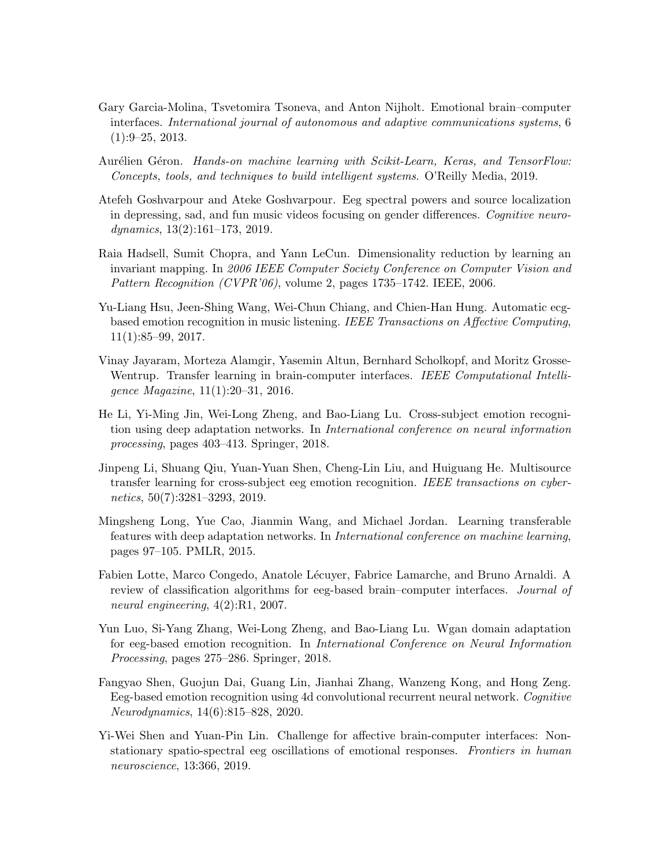- <span id="page-14-2"></span>Gary Garcia-Molina, Tsvetomira Tsoneva, and Anton Nijholt. Emotional brain–computer interfaces. International journal of autonomous and adaptive communications systems, 6 (1):9–25, 2013.
- <span id="page-14-12"></span>Aurélien Géron. Hands-on machine learning with Scikit-Learn, Keras, and TensorFlow: Concepts, tools, and techniques to build intelligent systems. O'Reilly Media, 2019.
- <span id="page-14-3"></span>Atefeh Goshvarpour and Ateke Goshvarpour. Eeg spectral powers and source localization in depressing, sad, and fun music videos focusing on gender differences. Cognitive neurodynamics, 13(2):161–173, 2019.
- <span id="page-14-11"></span>Raia Hadsell, Sumit Chopra, and Yann LeCun. Dimensionality reduction by learning an invariant mapping. In 2006 IEEE Computer Society Conference on Computer Vision and Pattern Recognition (CVPR'06), volume 2, pages 1735–1742. IEEE, 2006.
- <span id="page-14-0"></span>Yu-Liang Hsu, Jeen-Shing Wang, Wei-Chun Chiang, and Chien-Han Hung. Automatic ecgbased emotion recognition in music listening. IEEE Transactions on Affective Computing, 11(1):85–99, 2017.
- <span id="page-14-4"></span>Vinay Jayaram, Morteza Alamgir, Yasemin Altun, Bernhard Scholkopf, and Moritz Grosse-Wentrup. Transfer learning in brain-computer interfaces. IEEE Computational Intelligence Magazine, 11(1):20–31, 2016.
- <span id="page-14-7"></span>He Li, Yi-Ming Jin, Wei-Long Zheng, and Bao-Liang Lu. Cross-subject emotion recognition using deep adaptation networks. In International conference on neural information processing, pages 403–413. Springer, 2018.
- <span id="page-14-6"></span>Jinpeng Li, Shuang Qiu, Yuan-Yuan Shen, Cheng-Lin Liu, and Huiguang He. Multisource transfer learning for cross-subject eeg emotion recognition. IEEE transactions on cybernetics, 50(7):3281–3293, 2019.
- <span id="page-14-8"></span>Mingsheng Long, Yue Cao, Jianmin Wang, and Michael Jordan. Learning transferable features with deep adaptation networks. In International conference on machine learning, pages 97–105. PMLR, 2015.
- <span id="page-14-1"></span>Fabien Lotte, Marco Congedo, Anatole L´ecuyer, Fabrice Lamarche, and Bruno Arnaldi. A review of classification algorithms for eeg-based brain–computer interfaces. Journal of neural engineering, 4(2):R1, 2007.
- <span id="page-14-9"></span>Yun Luo, Si-Yang Zhang, Wei-Long Zheng, and Bao-Liang Lu. Wgan domain adaptation for eeg-based emotion recognition. In International Conference on Neural Information Processing, pages 275–286. Springer, 2018.
- <span id="page-14-10"></span>Fangyao Shen, Guojun Dai, Guang Lin, Jianhai Zhang, Wanzeng Kong, and Hong Zeng. Eeg-based emotion recognition using 4d convolutional recurrent neural network. Cognitive Neurodynamics, 14(6):815–828, 2020.
- <span id="page-14-5"></span>Yi-Wei Shen and Yuan-Pin Lin. Challenge for affective brain-computer interfaces: Nonstationary spatio-spectral eeg oscillations of emotional responses. Frontiers in human neuroscience, 13:366, 2019.